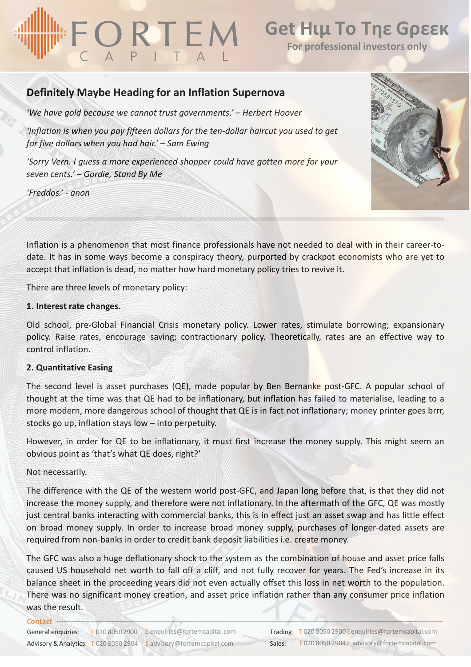# ORTEM

### **Get Ηιμ Το Τηε Gρεεκ**

**For professional investors only**

### **Definitely Maybe Heading for an Inflation Supernova**

*'We have gold because we cannot trust governments.' – Herbert Hoover*

*'Inflation is when you pay fifteen dollars for the ten-dollar haircut you used to get for five dollars when you had hair.' – Sam Ewing*

*'Sorry Vern. I guess a more experienced shopper could have gotten more for your seven cents.' – Gordie, Stand By Me*

*'Freddos.' - anon*



Inflation is a phenomenon that most finance professionals have not needed to deal with in their career-todate. It has in some ways become a conspiracy theory, purported by crackpot economists who are yet to accept that inflation is dead, no matter how hard monetary policy tries to revive it.

There are three levels of monetary policy:

#### **1. Interest rate changes.**

Old school, pre-Global Financial Crisis monetary policy. Lower rates, stimulate borrowing; expansionary policy. Raise rates, encourage saving; contractionary policy. Theoretically, rates are an effective way to control inflation.

#### **2. Quantitative Easing**

The second level is asset purchases (QE), made popular by Ben Bernanke post-GFC. A popular school of thought at the time was that QE had to be inflationary, but inflation has failed to materialise, leading to a more modern, more dangerous school of thought that QE is in fact not inflationary; money printer goes brrr, stocks go up, inflation stays low – into perpetuity.

However, in order for QE to be inflationary, it must first increase the money supply. This might seem an obvious point as 'that's what QE does, right?'

#### Not necessarily.

**Contact**

The difference with the QE of the western world post-GFC, and Japan long before that, is that they did not increase the money supply, and therefore were not inflationary. In the aftermath of the GFC, QE was mostly just central banks interacting with commercial banks, this is in effect just an asset swap and has little effect on broad money supply. In order to increase broad money supply, purchases of longer-dated assets are required from non-banks in order to credit bank deposit liabilities i.e. create money.

The GFC was also a huge deflationary shock to the system as the combination of house and asset price falls caused US household net worth to fall off a cliff, and not fully recover for years. The Fed's increase in its balance sheet in the proceeding years did not even actually offset this loss in net worth to the population. There was no significant money creation, and asset price inflation rather than any consumer price inflation was the result.

| General enquiries:                    | T 020 8050 2900 E enquiries@fortemcapital.com | Trading: |
|---------------------------------------|-----------------------------------------------|----------|
| Advisory & Analytics: T 020 8050 2904 | E advisory@fortemcapital.com                  | Sales:   |
|                                       |                                               |          |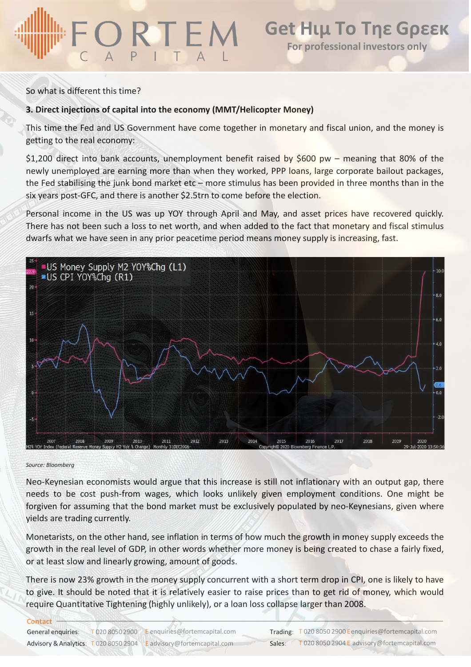#### So what is different this time?

#### **3. Direct injections of capital into the economy (MMT/Helicopter Money)**

This time the Fed and US Government have come together in monetary and fiscal union, and the money is getting to the real economy:

\$1,200 direct into bank accounts, unemployment benefit raised by \$600 pw – meaning that 80% of the newly unemployed are earning more than when they worked, PPP loans, large corporate bailout packages, the Fed stabilising the junk bond market etc – more stimulus has been provided in three months than in the six years post-GFC, and there is another \$2.5trn to come before the election.

Personal income in the US was up YOY through April and May, and asset prices have recovered quickly. There has not been such a loss to net worth, and when added to the fact that monetary and fiscal stimulus dwarfs what we have seen in any prior peacetime period means money supply is increasing, fast.



#### *Source: Bloomberg*

Neo-Keynesian economists would argue that this increase is still not inflationary with an output gap, there needs to be cost push-from wages, which looks unlikely given employment conditions. One might be forgiven for assuming that the bond market must be exclusively populated by neo-Keynesians, given where yields are trading currently.

Monetarists, on the other hand, see inflation in terms of how much the growth in money supply exceeds the growth in the real level of GDP, in other words whether more money is being created to chase a fairly fixed, or at least slow and linearly growing, amount of goods.

There is now 23% growth in the money supply concurrent with a short term drop in CPI, one is likely to have to give. It should be noted that it is relatively easier to raise prices than to get rid of money, which would require Quantitative Tightening (highly unlikely), or a loan loss collapse larger than 2008.

| Contact            |                                                                    |        |                                                       |
|--------------------|--------------------------------------------------------------------|--------|-------------------------------------------------------|
| General enquiries: | $T$ 020 8050 2900 E enquiries @fortemcapital.com                   |        | Trading: T 020 8050 2900 Eenquiries@fortemcapital.com |
|                    | Advisory & Analytics: T 020 8050 2904 E advisory@fortemcapital.com | Sales: | T 020 8050 2904 E advisory@fortemcapital.com          |